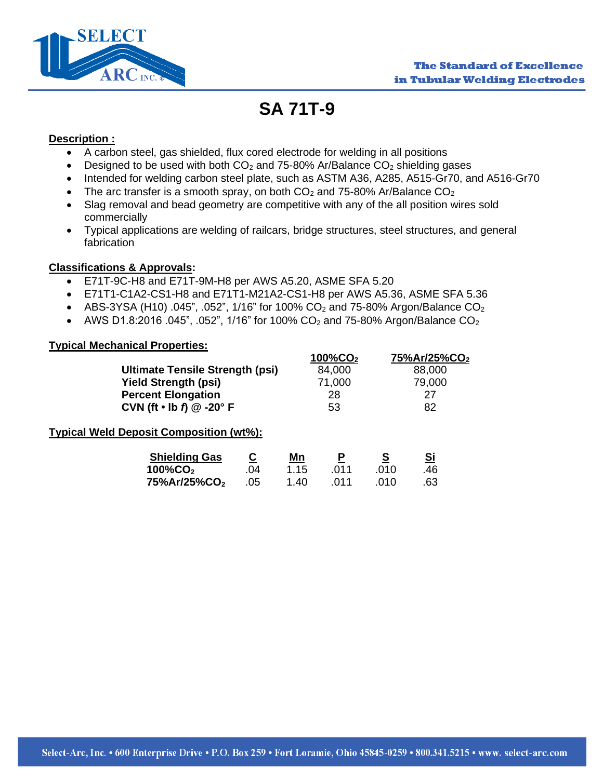

# **SA 71T-9**

#### **Description :**

- A carbon steel, gas shielded, flux cored electrode for welding in all positions
- Designed to be used with both  $CO<sub>2</sub>$  and 75-80% Ar/Balance  $CO<sub>2</sub>$  shielding gases
- Intended for welding carbon steel plate, such as ASTM A36, A285, A515-Gr70, and A516-Gr70
- The arc transfer is a smooth spray, on both  $CO<sub>2</sub>$  and 75-80% Ar/Balance  $CO<sub>2</sub>$
- Slag removal and bead geometry are competitive with any of the all position wires sold commercially
- Typical applications are welding of railcars, bridge structures, steel structures, and general fabrication

### **Classifications & Approvals:**

- E71T-9C-H8 and E71T-9M-H8 per AWS A5.20, ASME SFA 5.20
- E71T1-C1A2-CS1-H8 and E71T1-M21A2-CS1-H8 per AWS A5.36, ASME SFA 5.36
- ABS-3YSA (H10) .045", .052", 1/16" for 100%  $CO_2$  and 75-80% Argon/Balance  $CO_2$
- AWS D1.8:2016 .045", .052", 1/16" for 100% CO<sub>2</sub> and 75-80% Argon/Balance CO<sub>2</sub>

### **Typical Mechanical Properties:**

|                                                     |                 |            | $100\%$ CO <sub>2</sub> |                  | 75%Ar/25%CO <sub>2</sub> |  |
|-----------------------------------------------------|-----------------|------------|-------------------------|------------------|--------------------------|--|
| Ultimate Tensile Strength (psi)                     |                 |            | 84,000                  |                  | 88,000                   |  |
| <b>Yield Strength (psi)</b>                         |                 |            | 71,000                  |                  | 79,000                   |  |
| <b>Percent Elongation</b>                           |                 |            | 28                      |                  | 27                       |  |
| CVN (ft $\cdot$ lb $\hat{\eta}$ $@$ -20 $\hat{ }$ F |                 |            | 53                      |                  | 82                       |  |
| <b>Typical Weld Deposit Composition (wt%):</b>      |                 |            |                         |                  |                          |  |
| <b>Shielding Gas</b><br>$100\%$ CO <sub>2</sub>     | <u>ତ</u><br>.04 | Mn<br>1.15 | Р<br>.011               | <u>s</u><br>.010 | <u>Si</u><br>.46         |  |
| 75%Ar/25%CO <sub>2</sub>                            | .05             | 1.40       | .011                    | .010             | .63                      |  |
|                                                     |                 |            |                         |                  |                          |  |